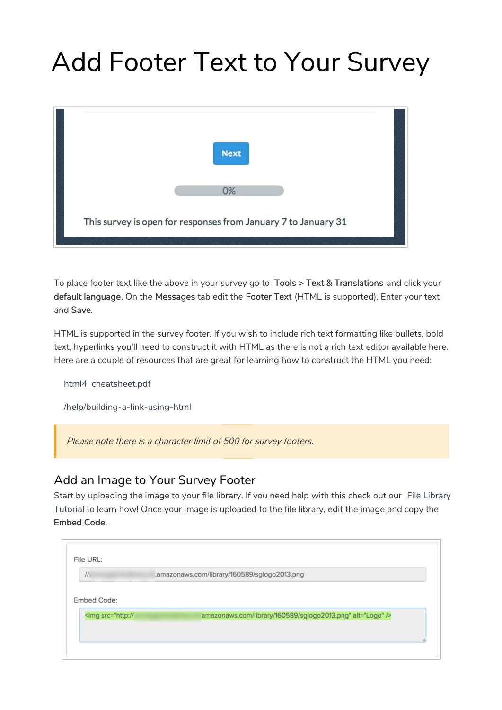## Add Footer Text to Your Survey



To place footer text like the above in your survey go to Tools > Text & Translations and click your default language. On the Messages tab edit the Footer Text (HTML is supported). Enter your text and Save.

HTML is supported in the survey footer. If you wish to include rich text formatting like bullets, bold text, hyperlinks you'll need to construct it with HTML as there is not a rich text editor available here. Here are a couple of resources that are great for learning how to construct the HTML you need:

html4\_cheatsheet.pdf

/help/building-a-link-using-html

Please note there is <sup>a</sup> character limit of 500 for survey footers.

## Add an Image to Your Survey Footer

Start by uploading the image to your file library. If you need help with this check out our File Library Tutorial to learn how! Once your image is uploaded to the file library, edit the image and copy the Embed Code.

| $II$ :                                                                                          | .amazonaws.com/library/160589/sglogo2013.png |  |  |  |  |  |
|-------------------------------------------------------------------------------------------------|----------------------------------------------|--|--|--|--|--|
|                                                                                                 |                                              |  |  |  |  |  |
|                                                                                                 |                                              |  |  |  |  |  |
|                                                                                                 |                                              |  |  |  |  |  |
| Embed Code:                                                                                     |                                              |  |  |  |  |  |
| <img alt="Logo" src="http://&lt;/td&gt;&lt;td&gt;amazonaws.com/library/160589/sglogo2013.png"/> |                                              |  |  |  |  |  |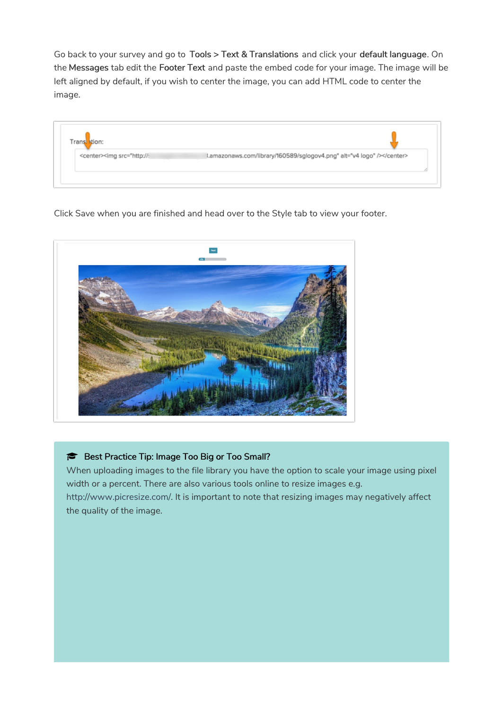Go back to your survey and go to Tools > Text & Translations and click your default language. On the Messages tab edit the Footer Text and paste the embed code for your image. The image will be left aligned by default, if you wish to center the image, you can add HTML code to center the image.

| Trans stion:                                                                                                         |  |
|----------------------------------------------------------------------------------------------------------------------|--|
| <center><img alt="v4 logo" src="http://:&lt;/th&gt;&lt;th&gt;l.amazonaws.com/library/160589/sglogov4.png"/></center> |  |
|                                                                                                                      |  |

Click Save when you are finished and head over to the Style tab to view your footer.



## Best Practice Tip: Image Too Big or Too Small?

When uploading images to the file library you have the option to scale your image using pixel width or a percent. There are also various tools online to resize images e.g. http://www.picresize.com/. It is important to note that resizing images may negatively affect the quality of the image.